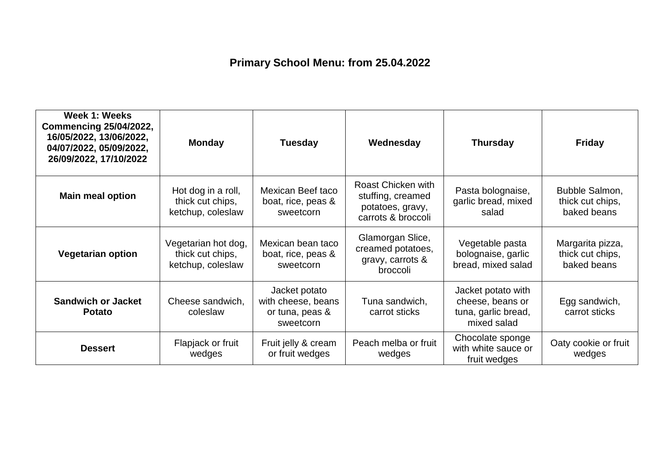## **Primary School Menu: from 25.04.2022**

| Week 1: Weeks<br><b>Commencing 25/04/2022,</b><br>16/05/2022, 13/06/2022,<br>04/07/2022, 05/09/2022,<br>26/09/2022, 17/10/2022 | <b>Monday</b>                                                | <b>Tuesday</b>                                                      | Wednesday                                                                         | <b>Thursday</b>                                                              | <b>Friday</b>                                       |
|--------------------------------------------------------------------------------------------------------------------------------|--------------------------------------------------------------|---------------------------------------------------------------------|-----------------------------------------------------------------------------------|------------------------------------------------------------------------------|-----------------------------------------------------|
| <b>Main meal option</b>                                                                                                        | Hot dog in a roll,<br>thick cut chips,<br>ketchup, coleslaw  | Mexican Beef taco<br>boat, rice, peas &<br>sweetcorn                | Roast Chicken with<br>stuffing, creamed<br>potatoes, gravy,<br>carrots & broccoli | Pasta bolognaise,<br>garlic bread, mixed<br>salad                            | Bubble Salmon,<br>thick cut chips,<br>baked beans   |
| <b>Vegetarian option</b>                                                                                                       | Vegetarian hot dog,<br>thick cut chips,<br>ketchup, coleslaw | Mexican bean taco<br>boat, rice, peas &<br>sweetcorn                | Glamorgan Slice,<br>creamed potatoes,<br>gravy, carrots &<br>broccoli             | Vegetable pasta<br>bolognaise, garlic<br>bread, mixed salad                  | Margarita pizza,<br>thick cut chips,<br>baked beans |
| <b>Sandwich or Jacket</b><br><b>Potato</b>                                                                                     | Cheese sandwich,<br>coleslaw                                 | Jacket potato<br>with cheese, beans<br>or tuna, peas &<br>sweetcorn | Tuna sandwich,<br>carrot sticks                                                   | Jacket potato with<br>cheese, beans or<br>tuna, garlic bread,<br>mixed salad | Egg sandwich,<br>carrot sticks                      |
| <b>Dessert</b>                                                                                                                 | Flapjack or fruit<br>wedges                                  | Fruit jelly & cream<br>or fruit wedges                              | Peach melba or fruit<br>wedges                                                    | Chocolate sponge<br>with white sauce or<br>fruit wedges                      | Oaty cookie or fruit<br>wedges                      |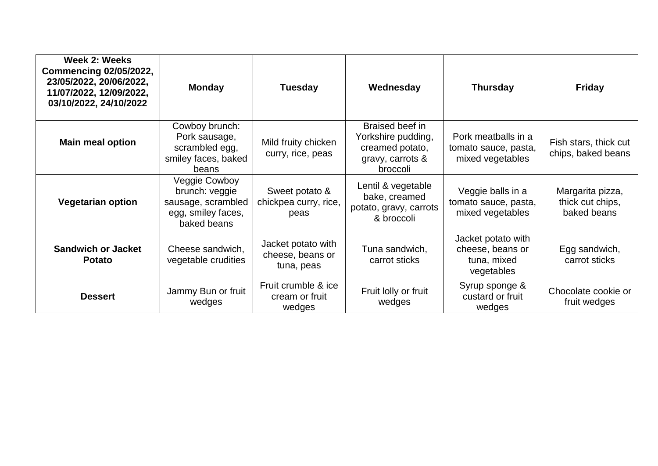| Week 2: Weeks<br><b>Commencing 02/05/2022,</b><br>23/05/2022, 20/06/2022,<br>11/07/2022, 12/09/2022,<br>03/10/2022, 24/10/2022 | <b>Monday</b>                                                                              | <b>Tuesday</b>                                       | Wednesday                                                                                | Thursday                                                            | <b>Friday</b>                                       |
|--------------------------------------------------------------------------------------------------------------------------------|--------------------------------------------------------------------------------------------|------------------------------------------------------|------------------------------------------------------------------------------------------|---------------------------------------------------------------------|-----------------------------------------------------|
| <b>Main meal option</b>                                                                                                        | Cowboy brunch:<br>Pork sausage,<br>scrambled egg,<br>smiley faces, baked<br>beans          | Mild fruity chicken<br>curry, rice, peas             | Braised beef in<br>Yorkshire pudding,<br>creamed potato,<br>gravy, carrots &<br>broccoli | Pork meatballs in a<br>tomato sauce, pasta,<br>mixed vegetables     | Fish stars, thick cut<br>chips, baked beans         |
| <b>Vegetarian option</b>                                                                                                       | Veggie Cowboy<br>brunch: veggie<br>sausage, scrambled<br>egg, smiley faces,<br>baked beans | Sweet potato &<br>chickpea curry, rice,<br>peas      | Lentil & vegetable<br>bake, creamed<br>potato, gravy, carrots<br>& broccoli              | Veggie balls in a<br>tomato sauce, pasta,<br>mixed vegetables       | Margarita pizza,<br>thick cut chips,<br>baked beans |
| <b>Sandwich or Jacket</b><br><b>Potato</b>                                                                                     | Cheese sandwich,<br>vegetable crudities                                                    | Jacket potato with<br>cheese, beans or<br>tuna, peas | Tuna sandwich,<br>carrot sticks                                                          | Jacket potato with<br>cheese, beans or<br>tuna, mixed<br>vegetables | Egg sandwich,<br>carrot sticks                      |
| <b>Dessert</b>                                                                                                                 | Jammy Bun or fruit<br>wedges                                                               | Fruit crumble & ice<br>cream or fruit<br>wedges      | Fruit lolly or fruit<br>wedges                                                           | Syrup sponge &<br>custard or fruit<br>wedges                        | Chocolate cookie or<br>fruit wedges                 |